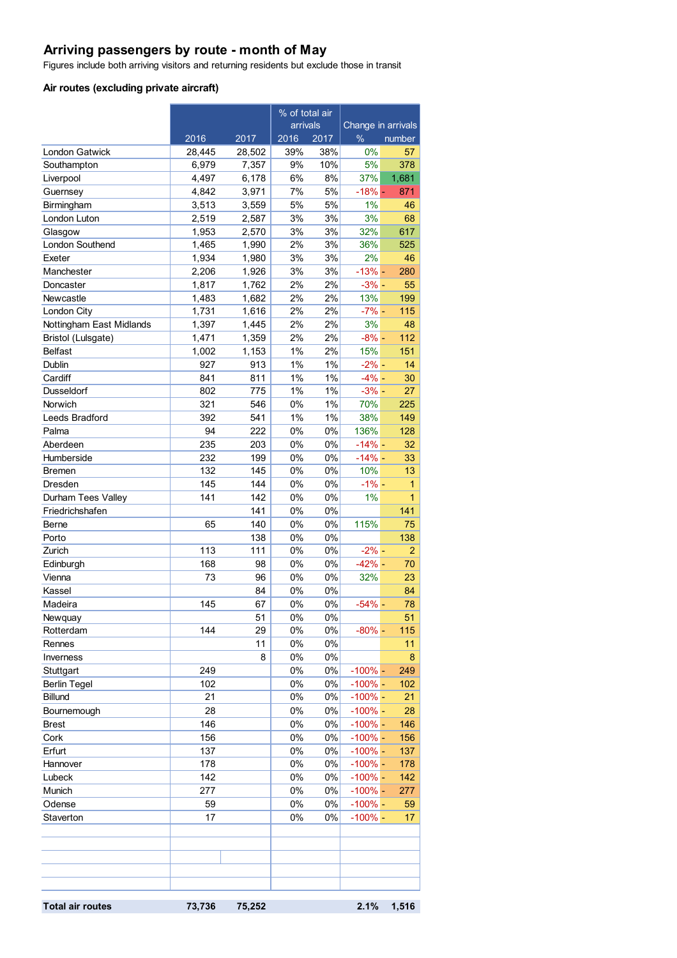## **Arriving passengers by route - month of May**

Figures include both arriving visitors and returning residents but exclude those in transit

#### **Air routes (excluding private aircraft)**

|                          |        |        | % of total air |       |                    |                 |
|--------------------------|--------|--------|----------------|-------|--------------------|-----------------|
|                          |        |        | arrivals       |       | Change in arrivals |                 |
|                          | 2016   | 2017   | 2016           | 2017  | $\%$               | number          |
| <b>London Gatwick</b>    | 28,445 | 28,502 | 39%            | 38%   | 0%                 | 57              |
| Southampton              | 6,979  | 7,357  | 9%             | 10%   | 5%                 | 378             |
| Liverpool                | 4,497  | 6,178  | 6%             | 8%    | 37%                | 1,681           |
| Guernsey                 | 4,842  | 3,971  | 7%             | 5%    | $-18% -$           | 871             |
| Birmingham               | 3,513  | 3,559  | 5%             | 5%    | 1%                 | 46              |
| London Luton             | 2,519  | 2,587  | 3%             | 3%    | 3%                 | 68              |
| Glasgow                  | 1,953  | 2,570  | 3%             | 3%    | 32%                | 617             |
| London Southend          | 1,465  | 1,990  | 2%             | 3%    | 36%                | 525             |
| Exeter                   | 1,934  | 1,980  | 3%             | 3%    | 2%                 | 46              |
| Manchester               | 2,206  | 1,926  | 3%             | 3%    | $-13% -$           | 280             |
| Doncaster                | 1,817  | 1,762  | 2%             | 2%    | $-3% -$            | 55              |
| Newcastle                | 1,483  | 1,682  | 2%             | 2%    | 13%                | 199             |
| London City              | 1,731  | 1,616  | 2%             | 2%    | $-7% -$            | 115             |
| Nottingham East Midlands | 1,397  | 1,445  | 2%             | 2%    | 3%                 | 48              |
| Bristol (Lulsgate)       | 1,471  | 1,359  | 2%             | 2%    | $-8%$ -            | 112             |
| <b>Belfast</b>           | 1,002  | 1,153  | 1%             | 2%    | 15%                | 151             |
| Dublin                   | 927    | 913    | 1%             | 1%    | $-2% -$            | 14              |
| Cardiff                  | 841    | 811    | 1%             | 1%    | $-4%$ -            | 30              |
| Dusseldorf               | 802    | 775    | 1%             | 1%    | $-3%$ -            | 27              |
| Norwich                  | 321    | 546    | 0%             | $1\%$ | 70%                | 225             |
| Leeds Bradford           | 392    | 541    | 1%             | $1\%$ | 38%                | 149             |
| Palma                    | 94     | 222    | 0%             | 0%    | 136%               | 128             |
| Aberdeen                 | 235    | 203    | 0%             | 0%    | $-14%$ -           | 32              |
| Humberside               | 232    | 199    | 0%             | 0%    | $-14%$ -           | 33              |
| <b>Bremen</b>            | 132    | 145    | 0%             | 0%    | 10%                | 13              |
| Dresden                  | 145    | 144    | 0%             | 0%    | $-1\%$ –           | 1               |
| Durham Tees Valley       | 141    | 142    | 0%             | 0%    | 1%                 | 1               |
| Friedrichshafen          |        | 141    | 0%             | 0%    |                    | 141             |
| Berne                    | 65     | 140    | 0%             | 0%    | 115%               | 75              |
| Porto                    |        | 138    | 0%             | 0%    |                    | 138             |
| Zurich                   | 113    | 111    | 0%             | 0%    | $-2% -$            | 2               |
| Edinburgh                | 168    | 98     | 0%             | 0%    | $-42% -$           | 70              |
| Vienna                   | 73     | 96     | 0%             | 0%    | 32%                | 23              |
| Kassel                   |        | 84     | 0%             | 0%    |                    | 84              |
| Madeira                  | 145    | 67     | 0%             | 0%    | $-54%$ -           | 78              |
| Newquay                  |        | 51     | $0\%$          | $0\%$ |                    | 51              |
| Rotterdam                | 144    | 29     | 0%             | 0%    | $-80% -$           | 115             |
| Rennes                   |        | 11     | $0\%$          | 0%    |                    | 11              |
| Inverness                |        | 8      | $0\%$          | 0%    |                    | 8               |
| Stuttgart                | 249    |        | $0\%$          | $0\%$ | $-100\%$ -         | 249             |
| <b>Berlin Tegel</b>      | 102    |        | 0%             | 0%    | $-100\%$ -         | 102             |
| Billund                  | 21     |        | $0\%$          | 0%    | $-100\%$ -         | 21              |
| Bournemough              | 28     |        | $0\%$          | 0%    | $-100\%$ -         | 28              |
| <b>Brest</b>             | 146    |        | $0\%$          | 0%    | $-100\%$ -         | 146             |
| Cork                     | 156    |        | 0%             | 0%    | $-100\%$ -         | 156             |
| Erfurt                   | 137    |        | $0\%$          | 0%    | $-100\%$ -         | 137             |
| Hannover                 | 178    |        | 0%             | 0%    | $-100\%$ -         | 178             |
| Lubeck                   | 142    |        | 0%             | $0\%$ | $-100\%$ -         | 142             |
| Munich                   | 277    |        | $0\%$          | $0\%$ | $-100\%$ -         | 277             |
| Odense                   | 59     |        | $0\%$          | $0\%$ | $-100\%$ -         | 59              |
| Staverton                | 17     |        | 0%             | 0%    | $-100\%$ -         | 17 <sub>2</sub> |
|                          |        |        |                |       |                    |                 |
|                          |        |        |                |       |                    |                 |
|                          |        |        |                |       |                    |                 |
|                          |        |        |                |       |                    |                 |
|                          |        |        |                |       |                    |                 |
|                          |        |        |                |       |                    |                 |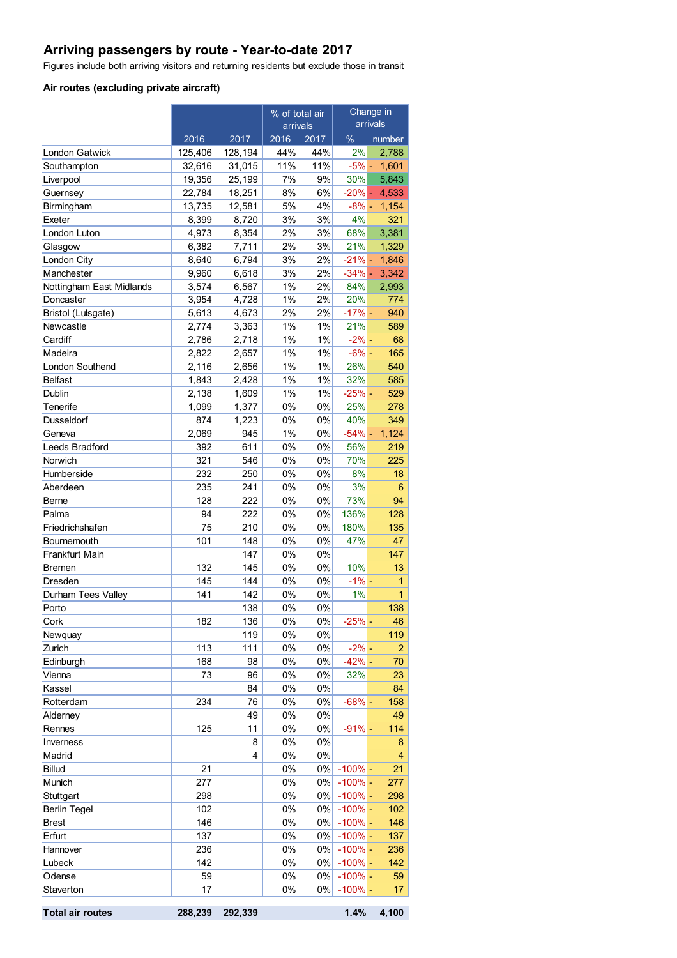## **Arriving passengers by route - Year-to-date 2017**

Figures include both arriving visitors and returning residents but exclude those in transit

#### **Air routes (excluding private aircraft)**

|                          |                   |                   | % of total air |                | Change in       |                 |
|--------------------------|-------------------|-------------------|----------------|----------------|-----------------|-----------------|
|                          |                   |                   | arrivals       |                | arrivals        |                 |
|                          | 2016              | 2017              | 2016           | 2017           | %               | number          |
| London Gatwick           | 125,406<br>32,616 | 128,194<br>31,015 | 44%<br>11%     | 44%<br>11%     | 2%              | 2,788           |
| Southampton<br>Liverpool | 19,356            | 25,199            | 7%             | 9%             | $-5\%$ -<br>30% | 1,601<br>5,843  |
| Guernsey                 | 22,784            | 18,251            | 8%             | 6%             |                 | $-20\% - 4,533$ |
| Birmingham               | 13,735            | 12,581            | 5%             | 4%             | $-8\% -$        | 1,154           |
| Exeter                   | 8,399             | 8,720             | 3%             | 3%             | 4%              | 321             |
| London Luton             | 4,973             | 8,354             | 2%             | 3%             | 68%             | 3,381           |
| Glasgow                  | 6,382             | 7,711             | 2%             | 3%             | 21%             | 1,329           |
| London City              | 8,640             | 6,794             | 3%             | 2%             | $-21% -$        | 1,846           |
| Manchester               | 9,960             | 6,618             | 3%             | 2%             | $-34\%$ -       | 3,342           |
| Nottingham East Midlands | 3,574             | 6,567             | 1%             | 2%             | 84%             | 2,993           |
| Doncaster                | 3,954             | 4,728             | 1%             | 2%             | 20%             | 774             |
| Bristol (Lulsgate)       | 5,613             | 4,673             | 2%             | 2%             | $-17% -$        | 940             |
| Newcastle                | 2,774             | 3,363             | 1%             | 1%             | 21%             | 589             |
| Cardiff                  | 2,786             | 2,718             | 1%             | $1\%$          | $-2\%$ -        | 68              |
| Madeira                  | 2,822             | 2,657             | 1%             | $1\%$          | $-6% -$         | 165             |
| <b>London Southend</b>   | 2,116             | 2,656             | 1%             | 1%             | 26%             | 540             |
| <b>Belfast</b>           | 1,843             | 2,428             | 1%             | 1%             | 32%             | 585             |
| Dublin                   | 2,138             | 1,609             | 1%             | 1%             | $-25%$ -        | 529             |
| Tenerife                 | 1,099             | 1,377             | 0%             | 0%             | 25%             | 278             |
| Dusseldorf               | 874               | 1,223             | 0%             | 0%             | 40%             | 349             |
| Geneva                   | 2,069             | 945               | 1%             | 0%             | $-54%$ -        | 1,124           |
| Leeds Bradford           | 392               | 611               | 0%             | 0%             | 56%             | 219             |
| Norwich                  | 321               | 546               | 0%             | 0%             | 70%             | 225             |
| Humberside               | 232               | 250               | 0%             | 0%             | 8%              | 18              |
| Aberdeen                 | 235               | 241               | 0%             | $0\%$          | 3%              | 6               |
| Berne                    | 128               | 222               | 0%             | 0%             | 73%             | 94              |
| Palma                    | 94                | 222               | 0%             | 0%             | 136%            | 128             |
| Friedrichshafen          | 75                | 210               | 0%             | $0\%$          | 180%            | 135             |
| Bournemouth              | 101               | 148               | 0%             | 0%             | 47%             | 47              |
| <b>Frankfurt Main</b>    |                   | 147               | 0%             | $0\%$          |                 | 147             |
| <b>Bremen</b>            | 132               | 145               | 0%             | $0\%$          | 10%             | 13              |
| Dresden                  | 145               | 144               | 0%             | $0\%$          | $-1\% -$        | 1               |
| Durham Tees Valley       | 141               | 142<br>138        | 0%<br>0%       | 0%<br>0%       | 1%              | 1<br>138        |
| Porto                    | 182               |                   | 0%             |                |                 | 46              |
| Cork<br>Newquay          |                   | 136<br>119        | 0%             | $0\%$<br>$0\%$ | $-25%$ -        | 119             |
| Zurich                   | 113               | 111               | 0%             | $0\%$          | $-2% -$         | 2               |
| Edinburgh                | 168               | 98                | 0%             | 0%             | $-42% -$        | 70              |
| Vienna                   | 73                | 96                | 0%             | 0%             | 32%             | 23              |
| Kassel                   |                   | 84                | 0%             | 0%             |                 | 84              |
| Rotterdam                | 234               | 76                | 0%             | $0\%$          | $-68%$ -        | 158             |
| Alderney                 |                   | 49                | $0\%$          | 0%             |                 | 49              |
| Rennes                   | 125               | 11                | 0%             | $0\%$          | $-91%$ -        | 114             |
| Inverness                |                   | 8                 | 0%             | $0\%$          |                 | 8               |
| Madrid                   |                   | 4                 | 0%             | $0\%$          |                 | 4               |
| <b>Billud</b>            | 21                |                   | $0\%$          | $0\%$          | $-100%$ -       | 21              |
| Munich                   | 277               |                   | $0\%$          | $0\%$          | $-100\%$ -      | 277             |
| Stuttgart                | 298               |                   | $0\%$          | $0\%$          | $-100%$ -       | 298             |
| <b>Berlin Tegel</b>      | 102               |                   | $0\%$          | 0%             | $-100%$ –       | 102             |
| <b>Brest</b>             | 146               |                   | 0%             | $0\%$          | $-100%$ –       | 146             |
| Erfurt                   | 137               |                   | $0\%$          | $0\%$          | $-100%$ –       | 137             |
| Hannover                 | 236               |                   | $0\%$          | $0\%$          | $-100%$ -       | 236             |
| Lubeck                   | 142               |                   | $0\%$          | $0\%$          | $-100%$ -       | 142             |
| Odense                   | 59                |                   | 0%             | $0\%$          | $-100\%$ -      | 59              |
| Staverton                | 17                |                   | $0\%$          | $0\%$          | $-100\%$ -      | 17              |
|                          |                   |                   |                |                |                 |                 |

**Total air routes 288,239 292,339 1.4% 4,100**